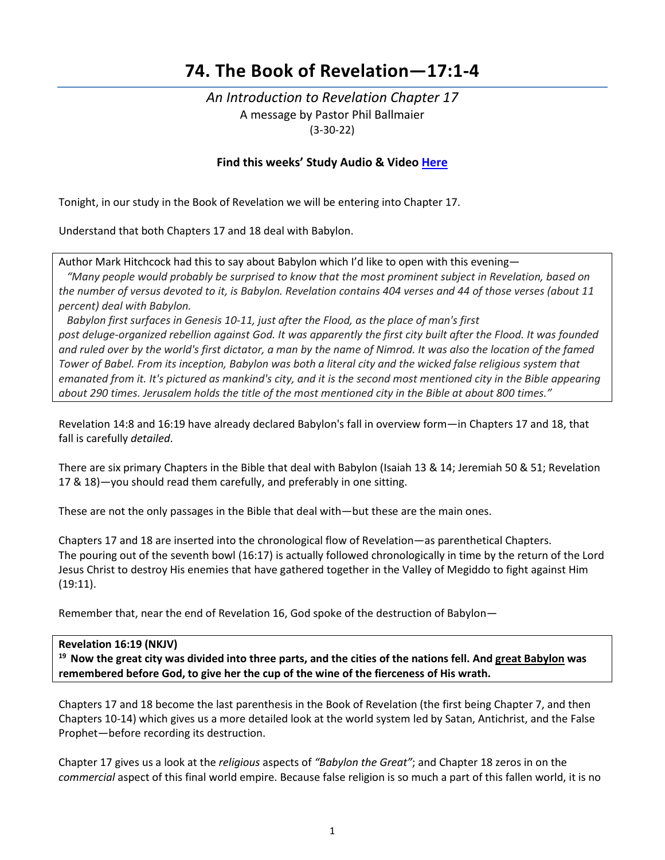# **74. The Book of Revelation—17:1-4**

# *An Introduction to Revelation Chapter 17* A message by Pastor Phil Ballmaier (3-30-22)

### **Find this weeks' Study Audio & Video [Here](https://www.ccelkgrove.org/wednesdays)**

Tonight, in our study in the Book of Revelation we will be entering into Chapter 17.

Understand that both Chapters 17 and 18 deal with Babylon.

Author Mark Hitchcock had this to say about Babylon which I'd like to open with this evening—

 *"Many people would probably be surprised to know that the most prominent subject in Revelation, based on the number of versus devoted to it, is Babylon. Revelation contains 404 verses and 44 of those verses (about 11 percent) deal with Babylon.* 

 *Babylon first surfaces in Genesis 10-11, just after the Flood, as the place of man's first post deluge-organized rebellion against God. It was apparently the first city built after the Flood. It was founded and ruled over by the world's first dictator, a man by the name of Nimrod. It was also the location of the famed Tower of Babel. From its inception, Babylon was both a literal city and the wicked false religious system that emanated from it. It's pictured as mankind's city, and it is the second most mentioned city in the Bible appearing about 290 times. Jerusalem holds the title of the most mentioned city in the Bible at about 800 times."*

Revelation 14:8 and 16:19 have already declared Babylon's fall in overview form—in Chapters 17 and 18, that fall is carefully *detailed*.

There are six primary Chapters in the Bible that deal with Babylon (Isaiah 13 & 14; Jeremiah 50 & 51; Revelation 17 & 18)—you should read them carefully, and preferably in one sitting.

These are not the only passages in the Bible that deal with—but these are the main ones.

Chapters 17 and 18 are inserted into the chronological flow of Revelation—as parenthetical Chapters. The pouring out of the seventh bowl (16:17) is actually followed chronologically in time by the return of the Lord Jesus Christ to destroy His enemies that have gathered together in the Valley of Megiddo to fight against Him (19:11).

Remember that, near the end of Revelation 16, God spoke of the destruction of Babylon—

#### **Revelation 16:19 (NKJV)**

**19 Now the great city was divided into three parts, and the cities of the nations fell. And great Babylon was remembered before God, to give her the cup of the wine of the fierceness of His wrath.**

Chapters 17 and 18 become the last parenthesis in the Book of Revelation (the first being Chapter 7, and then Chapters 10-14) which gives us a more detailed look at the world system led by Satan, Antichrist, and the False Prophet—before recording its destruction.

Chapter 17 gives us a look at the *religious* aspects of *"Babylon the Great"*; and Chapter 18 zeros in on the *commercial* aspect of this final world empire. Because false religion is so much a part of this fallen world, it is no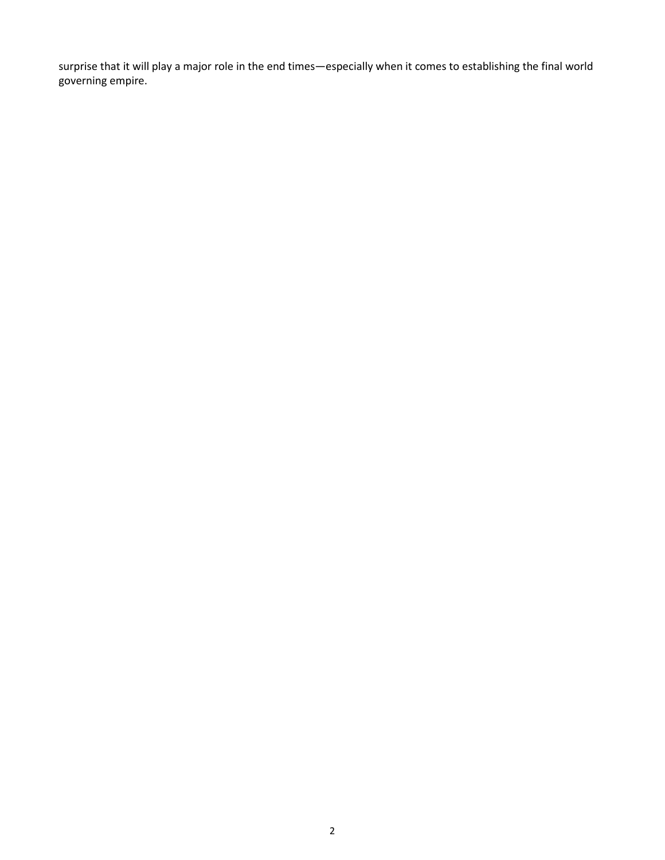surprise that it will play a major role in the end times—especially when it comes to establishing the final world governing empire.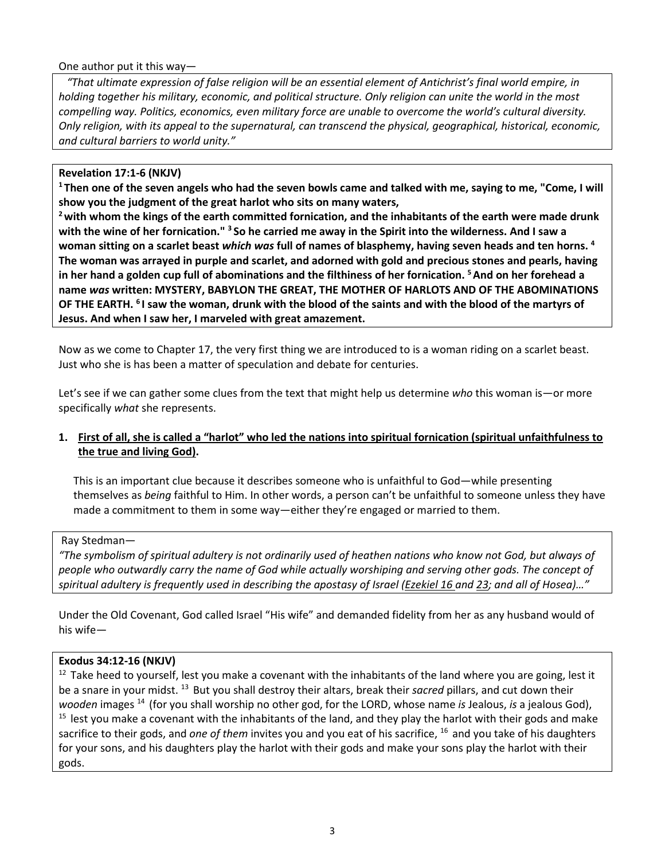One author put it this way—

 *"That ultimate expression of false religion will be an essential element of Antichrist's final world empire, in holding together his military, economic, and political structure. Only religion can unite the world in the most compelling way. Politics, economics, even military force are unable to overcome the world's cultural diversity. Only religion, with its appeal to the supernatural, can transcend the physical, geographical, historical, economic, and cultural barriers to world unity."* 

Revelation 17:1-6 (NKJV)<br><sup>1</sup> Then one of the seven angels who had the seven bowls came and talked with me, saying to me, "Come, I will **show you the judgment of the great harlot who sits on many waters,** 

**2 with whom the kings of the earth committed fornication, and the inhabitants of the earth were made drunk with the wine of her fornication." 3 So he carried me away in the Spirit into the wilderness. And I saw a woman sitting on a scarlet beast** *which was* **full of names of blasphemy, having seven heads and ten horns. 4 The woman was arrayed in purple and scarlet, and adorned with gold and precious stones and pearls, having in her hand a golden cup full of abominations and the filthiness of her fornication. 5 And on her forehead a name** *was* **written: MYSTERY, BABYLON THE GREAT, THE MOTHER OF HARLOTS AND OF THE ABOMINATIONS OF THE EARTH. 6 I saw the woman, drunk with the blood of the saints and with the blood of the martyrs of Jesus. And when I saw her, I marveled with great amazement.** 

Now as we come to Chapter 17, the very first thing we are introduced to is a woman riding on a scarlet beast. Just who she is has been a matter of speculation and debate for centuries.

Let's see if we can gather some clues from the text that might help us determine *who* this woman is—or more specifically *what* she represents.

# **1. First of all, she is called a "harlot" who led the nations into spiritual fornication (spiritual unfaithfulness to the true and living God).**

This is an important clue because it describes someone who is unfaithful to God—while presenting themselves as *being* faithful to Him. In other words, a person can't be unfaithful to someone unless they have made a commitment to them in some way—either they're engaged or married to them.

#### Ray Stedman—

*"The symbolism of spiritual adultery is not ordinarily used of heathen nations who know not God, but always of people who outwardly carry the name of God while actually worshiping and serving other gods. The concept of spiritual adultery is frequently used in describing the apostasy of Israel (Ezekiel 16 and 23; and all of Hosea)…"* 

Under the Old Covenant, God called Israel "His wife" and demanded fidelity from her as any husband would of his wife—

### **Exodus 34:12-16 (NKJV)**

 $12$  Take heed to yourself, lest you make a covenant with the inhabitants of the land where you are going, lest it be a snare in your midst. 13 But you shall destroy their altars, break their *sacred* pillars, and cut down their wooden images <sup>14</sup> (for you shall worship no other god, for the LORD, whose name is Jealous, is a jealous God),<br><sup>15</sup> lest you make a covenant with the inhabitants of the land, and they play the harlot with their gods and m sacrifice to their gods, and *one of them* invites you and you eat of his sacrifice, 16 and you take of his daughters for your sons, and his daughters play the harlot with their gods and make your sons play the harlot with their gods.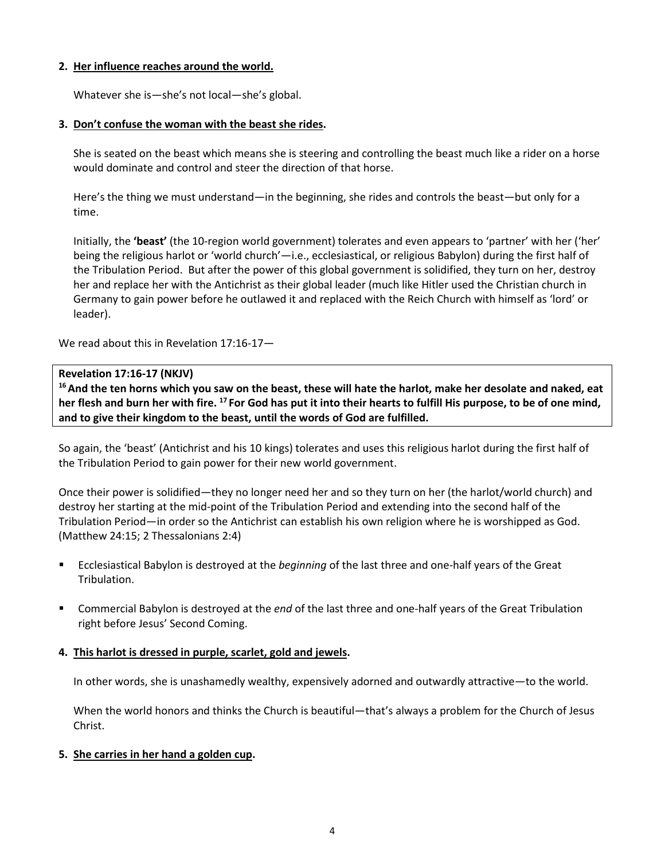# **2. Her influence reaches around the world.**

Whatever she is—she's not local—she's global.

# **3. Don't confuse the woman with the beast she rides.**

She is seated on the beast which means she is steering and controlling the beast much like a rider on a horse would dominate and control and steer the direction of that horse.

Here's the thing we must understand—in the beginning, she rides and controls the beast—but only for a time.

Initially, the **'beast'** (the 10-region world government) tolerates and even appears to 'partner' with her ('her' being the religious harlot or 'world church'—i.e., ecclesiastical, or religious Babylon) during the first half of the Tribulation Period. But after the power of this global government is solidified, they turn on her, destroy her and replace her with the Antichrist as their global leader (much like Hitler used the Christian church in Germany to gain power before he outlawed it and replaced with the Reich Church with himself as 'lord' or leader).

We read about this in Revelation 17:16-17—

# **Revelation 17:16-17 (NKJV)**

**16 And the ten horns which you saw on the beast, these will hate the harlot, make her desolate and naked, eat her flesh and burn her with fire. 17 For God has put it into their hearts to fulfill His purpose, to be of one mind, and to give their kingdom to the beast, until the words of God are fulfilled.** 

So again, the 'beast' (Antichrist and his 10 kings) tolerates and uses this religious harlot during the first half of the Tribulation Period to gain power for their new world government.

Once their power is solidified—they no longer need her and so they turn on her (the harlot/world church) and destroy her starting at the mid-point of the Tribulation Period and extending into the second half of the Tribulation Period—in order so the Antichrist can establish his own religion where he is worshipped as God. (Matthew 24:15; 2 Thessalonians 2:4)

- Ecclesiastical Babylon is destroyed at the *beginning* of the last three and one-half years of the Great Tribulation.
- Commercial Babylon is destroyed at the *end* of the last three and one-half years of the Great Tribulation right before Jesus' Second Coming.

### **4. This harlot is dressed in purple, scarlet, gold and jewels.**

In other words, she is unashamedly wealthy, expensively adorned and outwardly attractive—to the world.

When the world honors and thinks the Church is beautiful—that's always a problem for the Church of Jesus Christ.

### **5. She carries in her hand a golden cup.**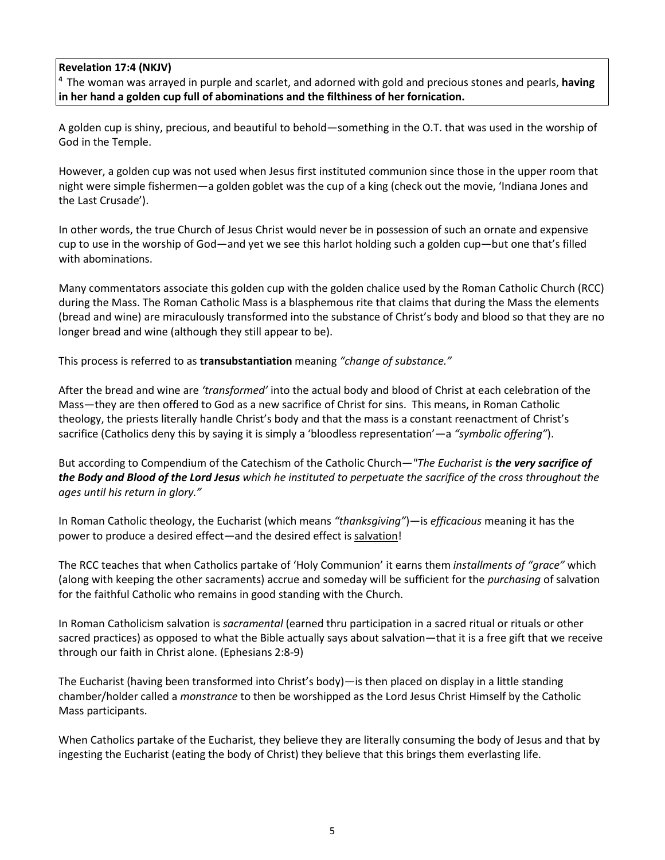**Revelation 17:4 (NKJV)**<br><sup>4</sup> The woman was arrayed in purple and scarlet, and adorned with gold and precious stones and pearls, **having in her hand a golden cup full of abominations and the filthiness of her fornication.**

A golden cup is shiny, precious, and beautiful to behold—something in the O.T. that was used in the worship of God in the Temple.

However, a golden cup was not used when Jesus first instituted communion since those in the upper room that night were simple fishermen—a golden goblet was the cup of a king (check out the movie, 'Indiana Jones and the Last Crusade').

In other words, the true Church of Jesus Christ would never be in possession of such an ornate and expensive cup to use in the worship of God—and yet we see this harlot holding such a golden cup—but one that's filled with abominations.

Many commentators associate this golden cup with the golden chalice used by the Roman Catholic Church (RCC) during the Mass. The Roman Catholic Mass is a blasphemous rite that claims that during the Mass the elements (bread and wine) are miraculously transformed into the substance of Christ's body and blood so that they are no longer bread and wine (although they still appear to be).

This process is referred to as **transubstantiation** meaning *"change of substance."*

After the bread and wine are *'transformed'* into the actual body and blood of Christ at each celebration of the Mass—they are then offered to God as a new sacrifice of Christ for sins. This means, in Roman Catholic theology, the priests literally handle Christ's body and that the mass is a constant reenactment of Christ's sacrifice (Catholics deny this by saying it is simply a 'bloodless representation'—a *"symbolic offering"*).

But according to Compendium of the Catechism of the Catholic Church—*"The Eucharist is the very sacrifice of the Body and Blood of the Lord Jesus which he instituted to perpetuate the sacrifice of the cross throughout the ages until his return in glory."*

In Roman Catholic theology, the Eucharist (which means *"thanksgiving"*)—is *efficacious* meaning it has the power to produce a desired effect—and the desired effect is salvation!

The RCC teaches that when Catholics partake of 'Holy Communion' it earns them *installments of "grace"* which (along with keeping the other sacraments) accrue and someday will be sufficient for the *purchasing* of salvation for the faithful Catholic who remains in good standing with the Church.

In Roman Catholicism salvation is *sacramental* (earned thru participation in a sacred ritual or rituals or other sacred practices) as opposed to what the Bible actually says about salvation—that it is a free gift that we receive through our faith in Christ alone. (Ephesians 2:8-9)

The Eucharist (having been transformed into Christ's body)—is then placed on display in a little standing chamber/holder called a *[monstrance](http://rs6.net/tn.jsp?t=pjmwkzbab.0.t5luwzbab.r49t9yaab.1&ts=S0212&p=http%3A%2F%2Fwww.catholicconcerns.com%2FPresence.html)* to then be worshipped as the Lord Jesus Christ Himself by the Catholic Mass participants.

When Catholics partake of the Eucharist, they believe they are literally consuming the body of Jesus and that by ingesting the Eucharist (eating the body of Christ) they believe that this brings them everlasting life.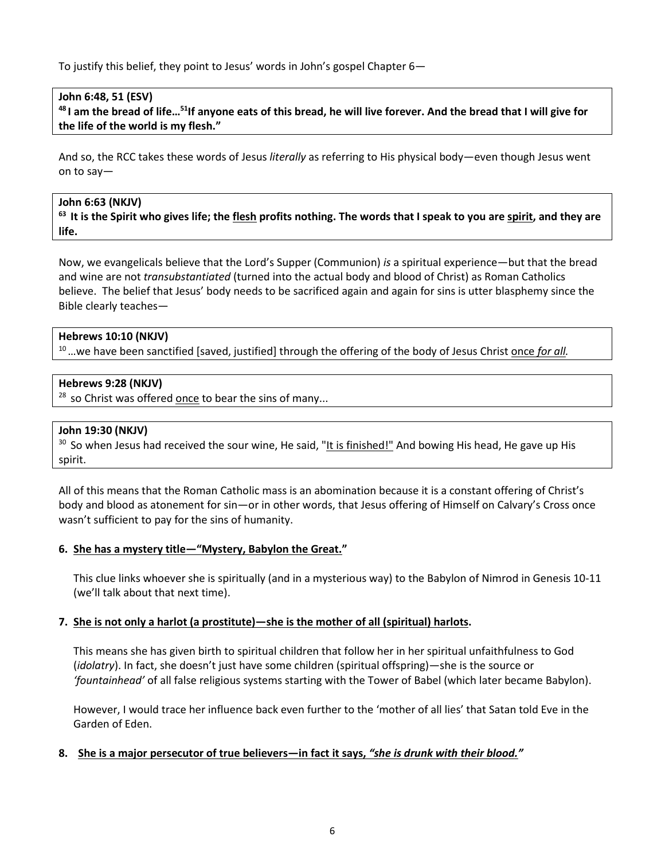To justify this belief, they point to Jesus' words in John's gospel Chapter 6—

### **John 6:48, 51 (ESV)**

**48 I am the bread of life…51If anyone eats of this bread, he will live forever. And the bread that I will give for the life of the world is my flesh."** 

And so, the RCC takes these words of Jesus *literally* as referring to His physical body—even though Jesus went on to say—

#### **John 6:63 (NKJV)**

**63 It is the Spirit who gives life; the flesh profits nothing. The words that I speak to you are spirit, and they are life.**

Now, we evangelicals believe that the Lord's Supper (Communion) *is* a spiritual experience—but that the bread and wine are not *transubstantiated* (turned into the actual body and blood of Christ) as Roman Catholics believe. The belief that Jesus' body needs to be sacrificed again and again for sins is utter blasphemy since the Bible clearly teaches—

#### **Hebrews 10:10 (NKJV)**

10 …we have been sanctified [saved, justified] through the offering of the body of Jesus Christ once *for all.*

#### **Hebrews 9:28 (NKJV)**

 $28$  so Christ was offered once to bear the sins of many...

#### **John 19:30 (NKJV)**

 $30$  So when Jesus had received the sour wine, He said, "It is finished!" And bowing His head, He gave up His spirit.

All of this means that the Roman Catholic mass is an abomination because it is a constant offering of Christ's body and blood as atonement for sin—or in other words, that Jesus offering of Himself on Calvary's Cross once wasn't sufficient to pay for the sins of humanity.

### **6. She has a mystery title—"Mystery, Babylon the Great."**

This clue links whoever she is spiritually (and in a mysterious way) to the Babylon of Nimrod in Genesis 10-11 (we'll talk about that next time).

### **7. She is not only a harlot (a prostitute)—she is the mother of all (spiritual) harlots.**

This means she has given birth to spiritual children that follow her in her spiritual unfaithfulness to God (*idolatry*). In fact, she doesn't just have some children (spiritual offspring)—she is the source or *'fountainhead'* of all false religious systems starting with the Tower of Babel (which later became Babylon).

However, I would trace her influence back even further to the 'mother of all lies' that Satan told Eve in the Garden of Eden.

# **8. She is a major persecutor of true believers—in fact it says,** *"she is drunk with their blood."*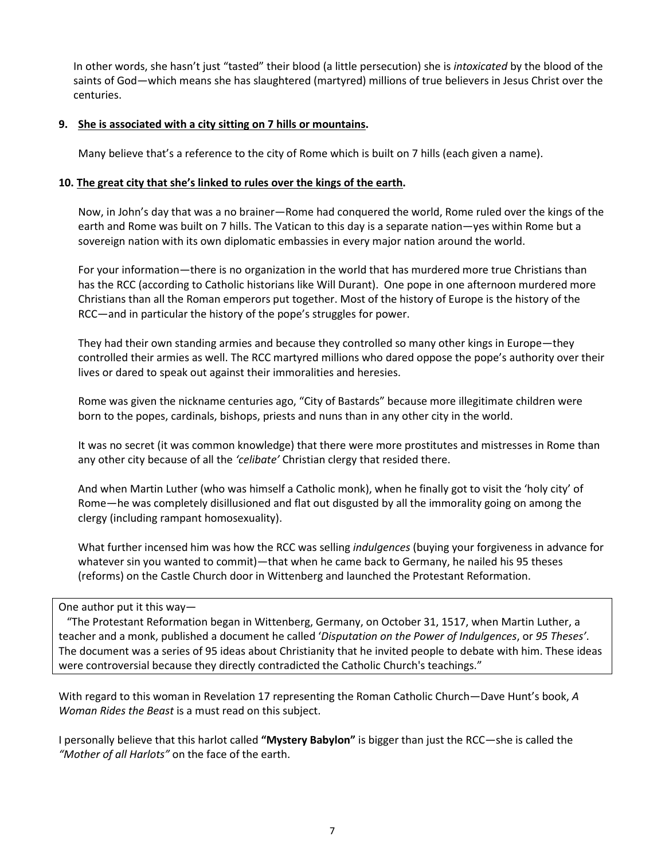In other words, she hasn't just "tasted" their blood (a little persecution) she is *intoxicated* by the blood of the saints of God—which means she has slaughtered (martyred) millions of true believers in Jesus Christ over the centuries.

# **9. She is associated with a city sitting on 7 hills or mountains.**

Many believe that's a reference to the city of Rome which is built on 7 hills (each given a name).

# **10. The great city that she's linked to rules over the kings of the earth.**

Now, in John's day that was a no brainer—Rome had conquered the world, Rome ruled over the kings of the earth and Rome was built on 7 hills. The Vatican to this day is a separate nation—yes within Rome but a sovereign nation with its own diplomatic embassies in every major nation around the world.

For your information—there is no organization in the world that has murdered more true Christians than has the RCC (according to Catholic historians like Will Durant). One pope in one afternoon murdered more Christians than all the Roman emperors put together. Most of the history of Europe is the history of the RCC—and in particular the history of the pope's struggles for power.

They had their own standing armies and because they controlled so many other kings in Europe—they controlled their armies as well. The RCC martyred millions who dared oppose the pope's authority over their lives or dared to speak out against their immoralities and heresies.

Rome was given the nickname centuries ago, "City of Bastards" because more illegitimate children were born to the popes, cardinals, bishops, priests and nuns than in any other city in the world.

It was no secret (it was common knowledge) that there were more prostitutes and mistresses in Rome than any other city because of all the *'celibate'* Christian clergy that resided there.

And when Martin Luther (who was himself a Catholic monk), when he finally got to visit the 'holy city' of Rome—he was completely disillusioned and flat out disgusted by all the immorality going on among the clergy (including rampant homosexuality).

What further incensed him was how the RCC was selling *indulgences* (buying your forgiveness in advance for whatever sin you wanted to commit)—that when he came back to Germany, he nailed his 95 theses (reforms) on the Castle Church door in Wittenberg and launched the Protestant Reformation.

One author put it this way—

 "The Protestant Reformation began in Wittenberg, Germany, on October 31, 1517, when Martin Luther, a teacher and a monk, published a document he called '*Disputation on the Power of Indulgences*, or *95 Theses'*. The document was a series of 95 ideas about Christianity that he invited people to debate with him. These ideas were controversial because they directly contradicted the Catholic Church's teachings."

With regard to this woman in Revelation 17 representing the Roman Catholic Church—Dave Hunt's book, *A Woman Rides the Beast* is a must read on this subject.

I personally believe that this harlot called **"Mystery Babylon"** is bigger than just the RCC—she is called the *"Mother of all Harlots"* on the face of the earth.